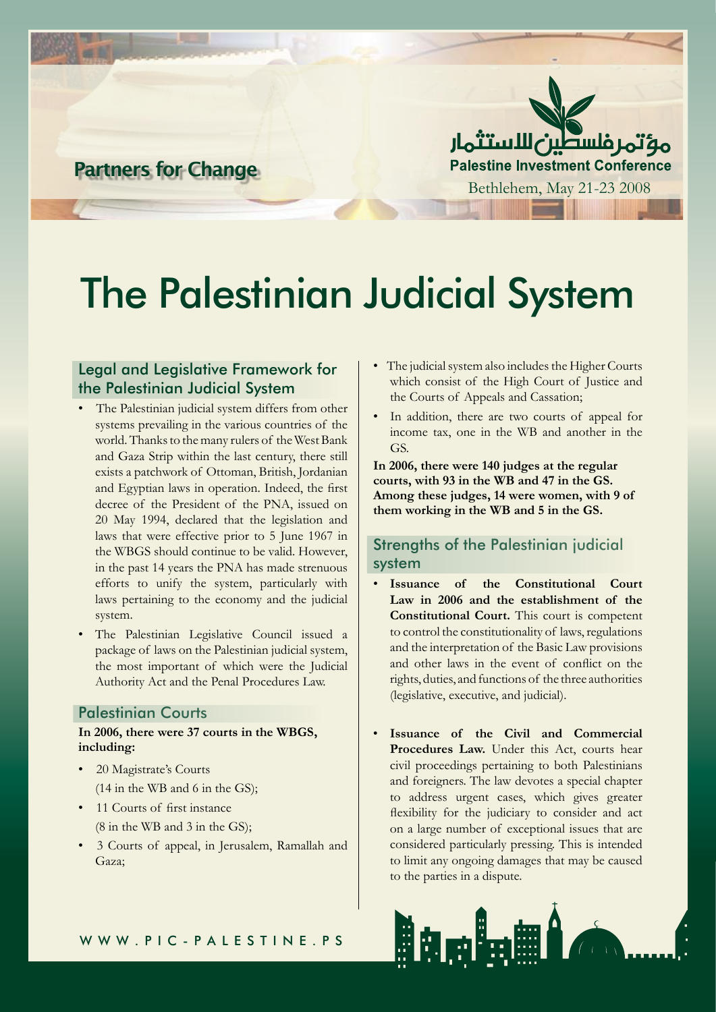

**Partners for Change**

# The Palestinian Judicial System

### Legal and Legislative Framework for the Palestinian Judicial System

- The Palestinian judicial system differs from other systems prevailing in the various countries of the world. Thanks to the many rulers of the West Bank and Gaza Strip within the last century, there still exists a patchwork of Ottoman, British, Jordanian and Egyptian laws in operation. Indeed, the first decree of the President of the PNA, issued on 20 May 1994, declared that the legislation and laws that were effective prior to 5 June 1967 in the WBGS should continue to be valid. However, in the past 14 years the PNA has made strenuous efforts to unify the system, particularly with laws pertaining to the economy and the judicial system.
- The Palestinian Legislative Council issued a package of laws on the Palestinian judicial system, the most important of which were the Judicial Authority Act and the Penal Procedures Law.

#### Palestinian Courts

#### **In 2006, there were 37 courts in the WBGS, including:**

- 20 Magistrate's Courts (14 in the WB and 6 in the GS);
- 11 Courts of first instance (8 in the WB and 3 in the GS);
- 3 Courts of appeal, in Jerusalem, Ramallah and Gaza;
- The judicial system also includes the Higher Courts which consist of the High Court of Justice and the Courts of Appeals and Cassation;
- In addition, there are two courts of appeal for income tax, one in the WB and another in the GS.

**In 2006, there were 140 judges at the regular courts, with 93 in the WB and 47 in the GS. Among these judges, 14 were women, with 9 of them working in the WB and 5 in the GS.**

## Strengths of the Palestinian judicial system

- • **Issuance of the Constitutional Court Law in 2006 and the establishment of the Constitutional Court.** This court is competent to control the constitutionality of laws, regulations and the interpretation of the Basic Law provisions and other laws in the event of conflict on the rights, duties, and functions of the three authorities (legislative, executive, and judicial).
- **Issuance of the Civil and Commercial** Procedures Law. Under this Act, courts hear civil proceedings pertaining to both Palestinians and foreigners. The law devotes a special chapter to address urgent cases, which gives greater flexibility for the judiciary to consider and act on a large number of exceptional issues that are considered particularly pressing. This is intended to limit any ongoing damages that may be caused to the parties in a dispute.

ia a ini